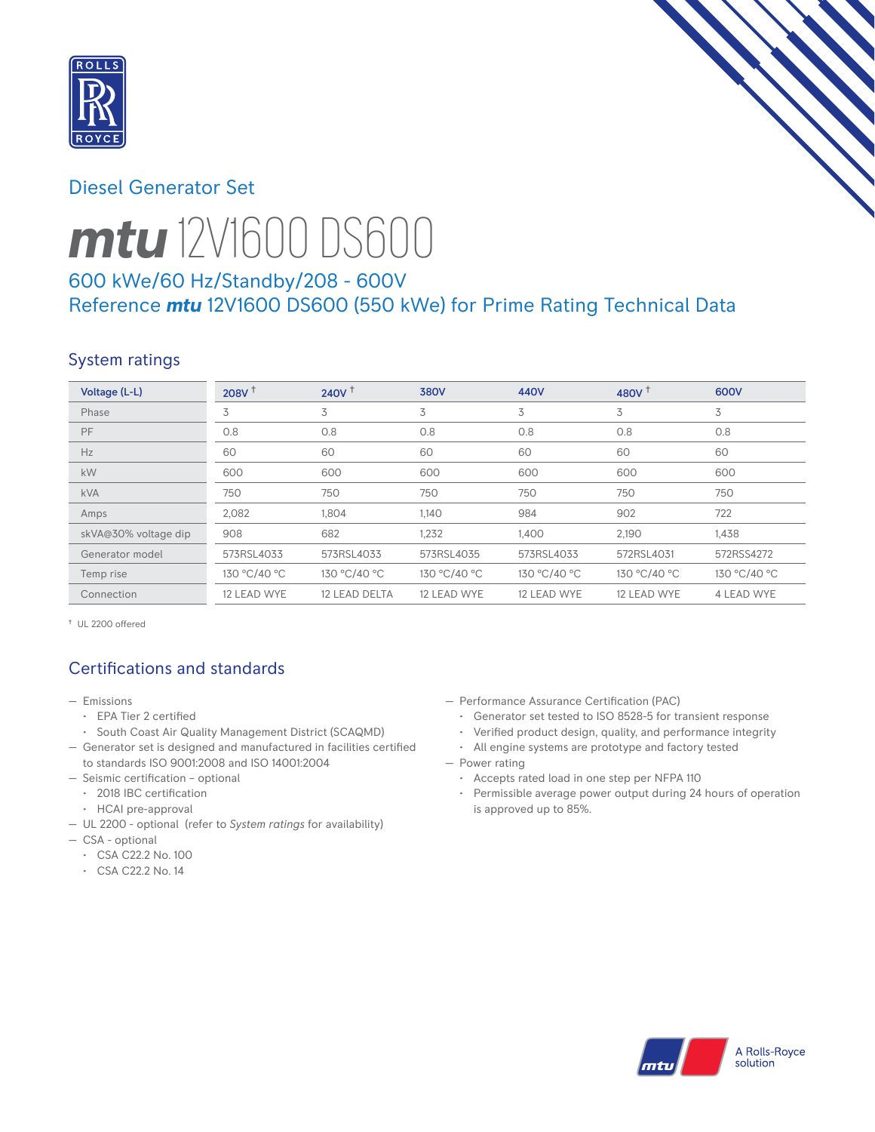

# Diesel Generator Set



# *mtu* 12V1600 DS600

# 600 kWe/60 Hz/Standby/208 - 600V Reference *mtu* 12V1600 DS600 (550 kWe) for Prime Rating Technical Data

# System ratings

| Voltage (L-L)        | 208V <sup>†</sup> | 240V $†$      | 380V         | 440V         | 480V $†$     | 600V         |
|----------------------|-------------------|---------------|--------------|--------------|--------------|--------------|
| Phase                | 3                 | 3             | 3            | 3            | 3            | 3            |
| PF                   | 0.8               | 0.8           | 0.8          | 0.8          | 0.8          | 0.8          |
| Hz                   | 60                | 60            | 60           | 60           | 60           | 60           |
| kW                   | 600               | 600           | 600          | 600          | 600          | 600          |
| <b>kVA</b>           | 750               | 750           | 750          | 750          | 750          | 750          |
| Amps                 | 2,082             | 1,804         | 1,140        | 984          | 902          | 722          |
| skVA@30% voltage dip | 908               | 682           | 1,232        | 1,400        | 2,190        | 1,438        |
| Generator model      | 573RSL4033        | 573RSL4033    | 573RSL4035   | 573RSL4033   | 572RSL4031   | 572RSS4272   |
| Temp rise            | 130 °C/40 °C      | 130 °C/40 °C  | 130 °C/40 °C | 130 °C/40 °C | 130 °C/40 °C | 130 °C/40 °C |
| Connection           | 12 LEAD WYE       | 12 LEAD DELTA | 12 LEAD WYE  | 12 LEAD WYE  | 12 LEAD WYE  | 4 LEAD WYE   |

† UL 2200 offered

# Certifications and standards

- Emissions
	- EPA Tier 2 certified
- South Coast Air Quality Management District (SCAQMD)
- Generator set is designed and manufactured in facilities certified to standards ISO 9001:2008 and ISO 14001:2004
- Seismic certification optional
- 2018 IBC certification
- HCAI pre-approval
- UL 2200 optional (refer to *System ratings* for availability)
- CSA optional
	- CSA C22.2 No. 100
	- CSA C22.2 No. 14
- Performance Assurance Certification (PAC)
	- Generator set tested to ISO 8528-5 for transient response
	- Verified product design, quality, and performance integrity
	- All engine systems are prototype and factory tested
- Power rating
	- Accepts rated load in one step per NFPA 110
	- Permissible average power output during 24 hours of operation is approved up to 85%.

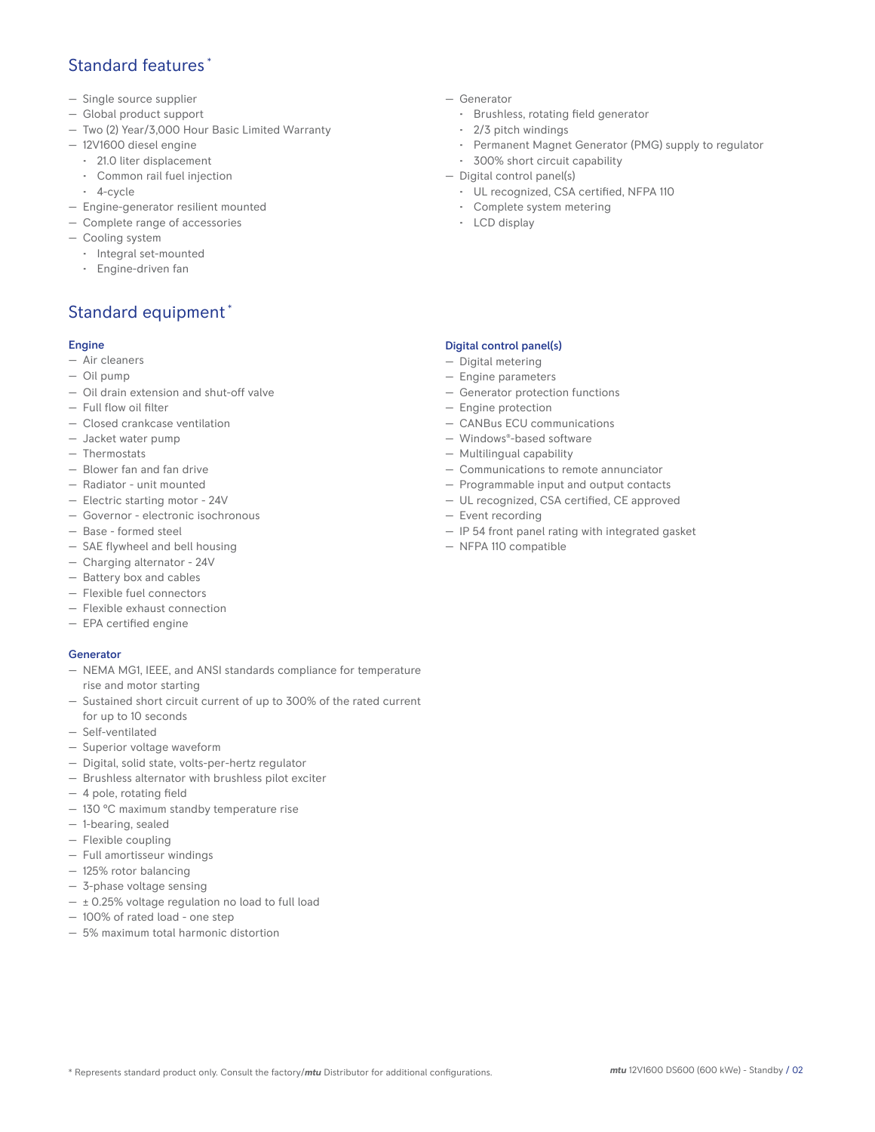## Standard features \*

- Single source supplier
- Global product support
- Two (2) Year/3,000 Hour Basic Limited Warranty
- 12V1600 diesel engine
	- 21.0 liter displacement
	- Common rail fuel injection
	- 4-cycle
- Engine-generator resilient mounted
- Complete range of accessories
- Cooling system
- Integral set-mounted
	- Engine-driven fan

# Standard equipment \*

#### Engine

- Air cleaners
- Oil pump
- Oil drain extension and shut-off valve
- Full flow oil filter
- Closed crankcase ventilation
- Jacket water pump
- Thermostats
- Blower fan and fan drive
- Radiator unit mounted
- Electric starting motor 24V
- Governor electronic isochronous
- Base formed steel
- SAE flywheel and bell housing
- Charging alternator 24V
- Battery box and cables
- Flexible fuel connectors
- Flexible exhaust connection
- EPA certified engine

#### **Generator**

- NEMA MG1, IEEE, and ANSI standards compliance for temperature rise and motor starting
- Sustained short circuit current of up to 300% of the rated current for up to 10 seconds
- Self-ventilated
- Superior voltage waveform
- Digital, solid state, volts-per-hertz regulator
- Brushless alternator with brushless pilot exciter
- 4 pole, rotating field
- 130 °C maximum standby temperature rise
- 1-bearing, sealed
- Flexible coupling
- Full amortisseur windings
- 125% rotor balancing
- 3-phase voltage sensing
- $\pm$  0.25% voltage regulation no load to full load
- 100% of rated load one step
- 5% maximum total harmonic distortion
- Generator
	- Brushless, rotating field generator
	- 2/3 pitch windings
	- Permanent Magnet Generator (PMG) supply to regulator
- 300% short circuit capability
- Digital control panel(s)
	- UL recognized, CSA certified, NFPA 110
	- Complete system metering
	- LCD display

### Digital control panel(s)

- Digital metering
- Engine parameters
- Generator protection functions
- Engine protection
- CANBus ECU communications
- Windows®-based software
- Multilingual capability
- Communications to remote annunciator
- Programmable input and output contacts
- UL recognized, CSA certified, CE approved
- Event recording
- IP 54 front panel rating with integrated gasket
- NFPA 110 compatible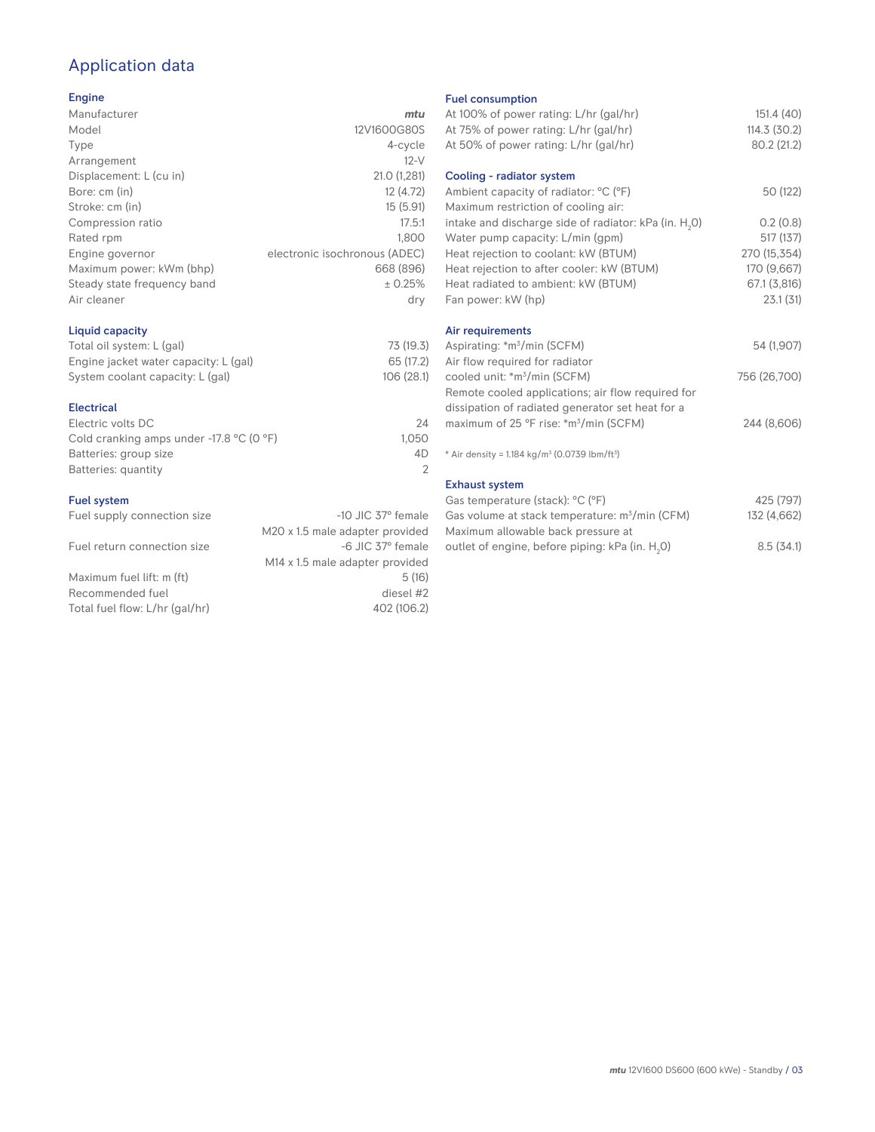# Application data

#### Engine

| Manufacturer                | mtu                           |
|-----------------------------|-------------------------------|
| Model                       | 12V1600G80S                   |
| Type                        | 4-cycle                       |
| Arrangement                 | $12-V$                        |
| Displacement: L (cu in)     | 21.0 (1,281)                  |
| Bore: cm (in)               | 12 (4.72)                     |
| Stroke: cm (in)             | 15(5.91)                      |
| Compression ratio           | 17.5:1                        |
| Rated rpm                   | 1.800                         |
| Engine governor             | electronic isochronous (ADEC) |
| Maximum power: kWm (bhp)    | 668 (896)                     |
| Steady state frequency band | ± 0.25%                       |
| Air cleaner                 | dry                           |
|                             |                               |

## Liquid capacity

| Total oil system: L (gal)             | 73 (19.3)  |
|---------------------------------------|------------|
| Engine jacket water capacity: L (gal) | 65 (17.2)  |
| System coolant capacity: L (gal)      | 106 (28.1) |

#### Electrical

| Electric volts DC                                            | 24    |
|--------------------------------------------------------------|-------|
| Cold cranking amps under -17.8 $^{\circ}$ C (O $^{\circ}$ F) | 1.050 |
| Batteries: group size                                        | 4D    |
| Batteries: quantity                                          |       |
|                                                              |       |

#### Fuel system

| Fuel supply connection size    | $-10$ JIC 37 $\degree$ female               |
|--------------------------------|---------------------------------------------|
|                                | M20 x 1.5 male adapter provided             |
| Fuel return connection size    | -6 JIC 37° female                           |
|                                | M <sub>14</sub> x 1.5 male adapter provided |
| Maximum fuel lift: m (ft)      | 5(16)                                       |
| Recommended fuel               | diesel #2                                   |
| Total fuel flow: L/hr (gal/hr) | 402 (106.2)                                 |
|                                |                                             |

#### Fuel consumption

| 151.4 (40)   |
|--------------|
| 114.3(30.2)  |
| 80.2 (21.2)  |
|              |
|              |
| 50 (122)     |
|              |
| 0.2(0.8)     |
| 517 (137)    |
| 270 (15,354) |
| 170 (9,667)  |
| 67.1 (3,816) |
| 23.1(31)     |
|              |
| 54 (1,907)   |
|              |
| 756 (26,700) |
|              |
|              |
| 244 (8,606)  |
|              |
|              |
|              |
|              |
| 425 (797)    |
| 132 (4,662)  |
|              |

outlet of engine, before piping: kPa (in.  $\mathsf{H}_{_{2}}$ 

0) 8.5 (34.1)